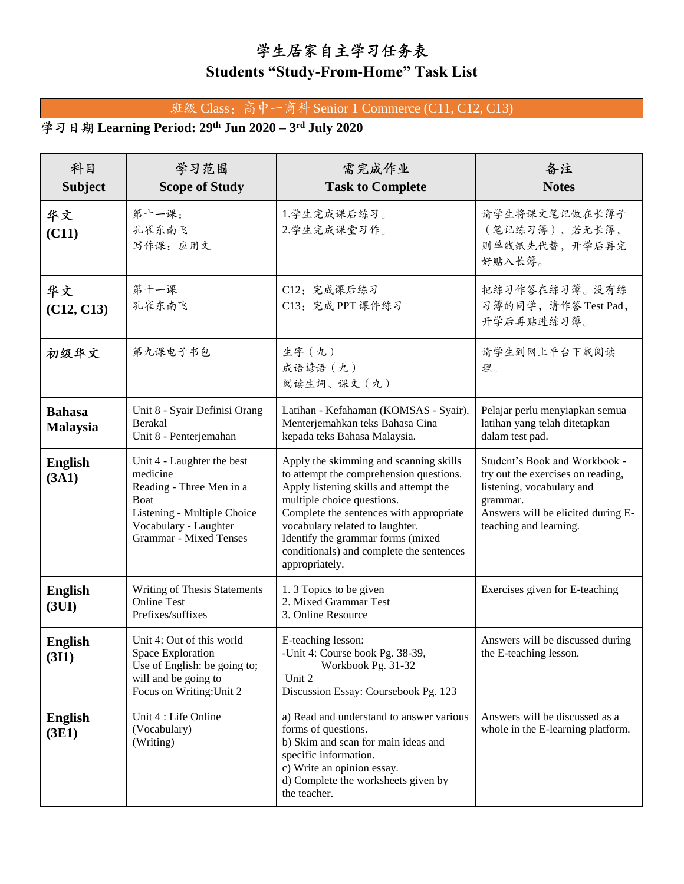## 学生居家自主学习任务表

## **Students "Study-From-Home" Task List**

## 班级 Class: 高中一商科 Senior 1 Commerce (C11, C12, C13)

## **Learning Period: 29th Jun 2020 – 3 rd July 2020**

| 科目<br><b>Subject</b>             | 学习范围<br><b>Scope of Study</b>                                                                                                                                       | 需完成作业<br><b>Task to Complete</b>                                                                                                                                                                                                                                                                                                           | 备注<br><b>Notes</b>                                                                                                                                                          |
|----------------------------------|---------------------------------------------------------------------------------------------------------------------------------------------------------------------|--------------------------------------------------------------------------------------------------------------------------------------------------------------------------------------------------------------------------------------------------------------------------------------------------------------------------------------------|-----------------------------------------------------------------------------------------------------------------------------------------------------------------------------|
| 华文<br>(C11)                      | 第十一课:<br>孔雀东南飞<br>写作课: 应用文                                                                                                                                          | 1.学生完成课后练习。<br>2.学生完成课堂习作。                                                                                                                                                                                                                                                                                                                 | 请学生将课文笔记做在长簿子<br>(笔记练习簿),若无长簿,<br>则单线纸先代替,开学后再完<br>好贴入长簿。                                                                                                                   |
| 华文<br>(C12, C13)                 | 第十一课<br>孔雀东南飞                                                                                                                                                       | C12: 完成课后练习<br>C13: 完成 PPT 课件练习                                                                                                                                                                                                                                                                                                            | 把练习作答在练习簿。没有练<br>习簿的同学,请作答 Test Pad,<br>开学后再贴进练习簿。                                                                                                                          |
| 初级华文                             | 第九课电子书包                                                                                                                                                             | 生字(九)<br>成语谚语 (九)<br>阅读生词、课文 (九)                                                                                                                                                                                                                                                                                                           | 请学生到网上平台下载阅读<br>理。                                                                                                                                                          |
| <b>Bahasa</b><br><b>Malaysia</b> | Unit 8 - Syair Definisi Orang<br>Berakal<br>Unit 8 - Penterjemahan                                                                                                  | Latihan - Kefahaman (KOMSAS - Syair).<br>Menterjemahkan teks Bahasa Cina<br>kepada teks Bahasa Malaysia.                                                                                                                                                                                                                                   | Pelajar perlu menyiapkan semua<br>latihan yang telah ditetapkan<br>dalam test pad.                                                                                          |
| <b>English</b><br>(3A1)          | Unit 4 - Laughter the best<br>medicine<br>Reading - Three Men in a<br>Boat<br>Listening - Multiple Choice<br>Vocabulary - Laughter<br><b>Grammar</b> - Mixed Tenses | Apply the skimming and scanning skills<br>to attempt the comprehension questions.<br>Apply listening skills and attempt the<br>multiple choice questions.<br>Complete the sentences with appropriate<br>vocabulary related to laughter.<br>Identify the grammar forms (mixed<br>conditionals) and complete the sentences<br>appropriately. | Student's Book and Workbook -<br>try out the exercises on reading,<br>listening, vocabulary and<br>grammar.<br>Answers will be elicited during E-<br>teaching and learning. |
| <b>English</b><br>(3UI)          | Writing of Thesis Statements<br><b>Online Test</b><br>Prefixes/suffixes                                                                                             | 1.3 Topics to be given<br>2. Mixed Grammar Test<br>3. Online Resource                                                                                                                                                                                                                                                                      | Exercises given for E-teaching                                                                                                                                              |
| <b>English</b><br>(3I1)          | Unit 4: Out of this world<br>Space Exploration<br>Use of English: be going to;<br>will and be going to<br>Focus on Writing: Unit 2                                  | E-teaching lesson:<br>-Unit 4: Course book Pg. 38-39,<br>Workbook Pg. 31-32<br>Unit 2<br>Discussion Essay: Coursebook Pg. 123                                                                                                                                                                                                              | Answers will be discussed during<br>the E-teaching lesson.                                                                                                                  |
| <b>English</b><br>(3E1)          | Unit 4 : Life Online<br>(Vocabulary)<br>(Writing)                                                                                                                   | a) Read and understand to answer various<br>forms of questions.<br>b) Skim and scan for main ideas and<br>specific information.<br>c) Write an opinion essay.<br>d) Complete the worksheets given by<br>the teacher.                                                                                                                       | Answers will be discussed as a<br>whole in the E-learning platform.                                                                                                         |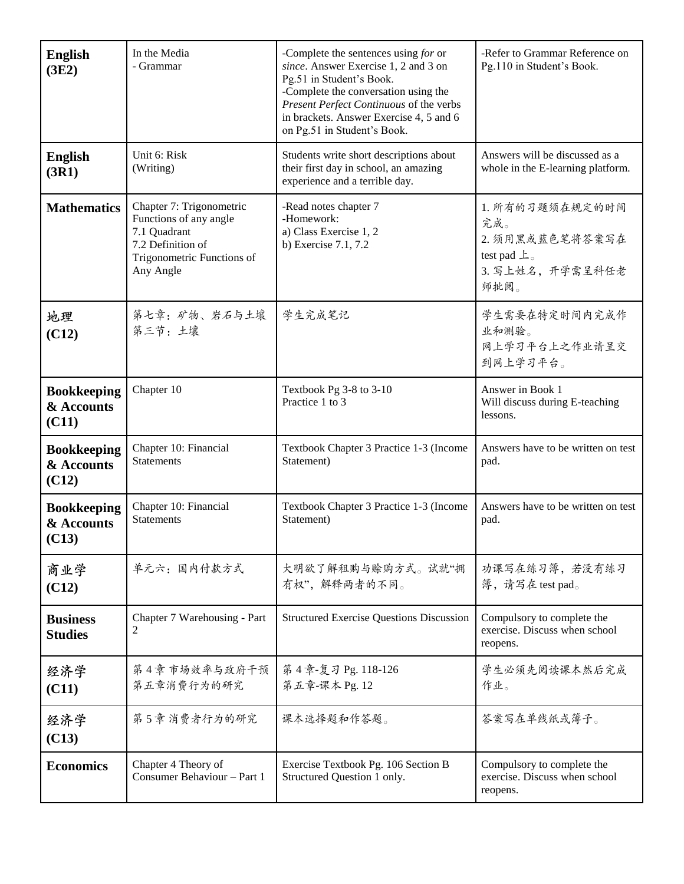| <b>English</b><br>(3E2)                   | In the Media<br>- Grammar                                                                                                          | -Complete the sentences using for or<br>since. Answer Exercise 1, 2 and 3 on<br>Pg.51 in Student's Book.<br>-Complete the conversation using the<br>Present Perfect Continuous of the verbs<br>in brackets. Answer Exercise 4, 5 and 6<br>on Pg.51 in Student's Book. | -Refer to Grammar Reference on<br>Pg.110 in Student's Book.                                            |
|-------------------------------------------|------------------------------------------------------------------------------------------------------------------------------------|-----------------------------------------------------------------------------------------------------------------------------------------------------------------------------------------------------------------------------------------------------------------------|--------------------------------------------------------------------------------------------------------|
| <b>English</b><br>(3R1)                   | Unit 6: Risk<br>(Writing)                                                                                                          | Students write short descriptions about<br>their first day in school, an amazing<br>experience and a terrible day.                                                                                                                                                    | Answers will be discussed as a<br>whole in the E-learning platform.                                    |
| <b>Mathematics</b>                        | Chapter 7: Trigonometric<br>Functions of any angle<br>7.1 Quadrant<br>7.2 Definition of<br>Trigonometric Functions of<br>Any Angle | -Read notes chapter 7<br>-Homework:<br>a) Class Exercise 1, 2<br>b) Exercise 7.1, 7.2                                                                                                                                                                                 | 1. 所有的习题须在规定的时间<br>完成。<br>2. 须用黑或蓝色笔将答案写在<br>test pad $\perp$ <sub>o</sub><br>3. 写上姓名, 开学需呈科任老<br>师批阅。 |
| 地理<br>(C12)                               | 第七章: 矿物、岩石与土壤<br>第三节: 土壤                                                                                                           | 学生完成笔记                                                                                                                                                                                                                                                                | 学生需要在特定时间内完成作<br>业和测验。<br>网上学习平台上之作业请呈交<br>到网上学习平台。                                                    |
| <b>Bookkeeping</b><br>& Accounts<br>(C11) | Chapter 10                                                                                                                         | Textbook Pg 3-8 to 3-10<br>Practice 1 to 3                                                                                                                                                                                                                            | Answer in Book 1<br>Will discuss during E-teaching<br>lessons.                                         |
| <b>Bookkeeping</b><br>& Accounts<br>(C12) | Chapter 10: Financial<br><b>Statements</b>                                                                                         | Textbook Chapter 3 Practice 1-3 (Income<br>Statement)                                                                                                                                                                                                                 | Answers have to be written on test<br>pad.                                                             |
| <b>Bookkeeping</b><br>& Accounts<br>(C13) | Chapter 10: Financial<br><b>Statements</b>                                                                                         | Textbook Chapter 3 Practice 1-3 (Income<br>Statement)                                                                                                                                                                                                                 | Answers have to be written on test<br>pad.                                                             |
| 商业学<br>(C12)                              | 单元六:国内付款方式                                                                                                                         | 大明欲了解租购与赊购方式。试就"拥<br>有权",解释两者的不同。                                                                                                                                                                                                                                     | 功课写在练习簿,若没有练习<br>簿,请写在 test pad。                                                                       |
| <b>Business</b><br><b>Studies</b>         | Chapter 7 Warehousing - Part<br>2                                                                                                  | <b>Structured Exercise Questions Discussion</b>                                                                                                                                                                                                                       | Compulsory to complete the<br>exercise. Discuss when school<br>reopens.                                |
| 经济学<br>(C11)                              | 第4章市场效率与政府干预<br>第五章消费行为的研究                                                                                                         | 第4章-复习 Pg. 118-126<br>第五章-课本 Pg. 12                                                                                                                                                                                                                                   | 学生必须先阅读课本然后完成<br>作业。                                                                                   |
| 经济学<br>(C13)                              | 第5章消费者行为的研究                                                                                                                        | 课本选择题和作答题。                                                                                                                                                                                                                                                            | 答案写在单线纸或簿子。                                                                                            |
| <b>Economics</b>                          | Chapter 4 Theory of<br>Consumer Behaviour - Part 1                                                                                 | Exercise Textbook Pg. 106 Section B<br>Structured Question 1 only.                                                                                                                                                                                                    | Compulsory to complete the<br>exercise. Discuss when school<br>reopens.                                |